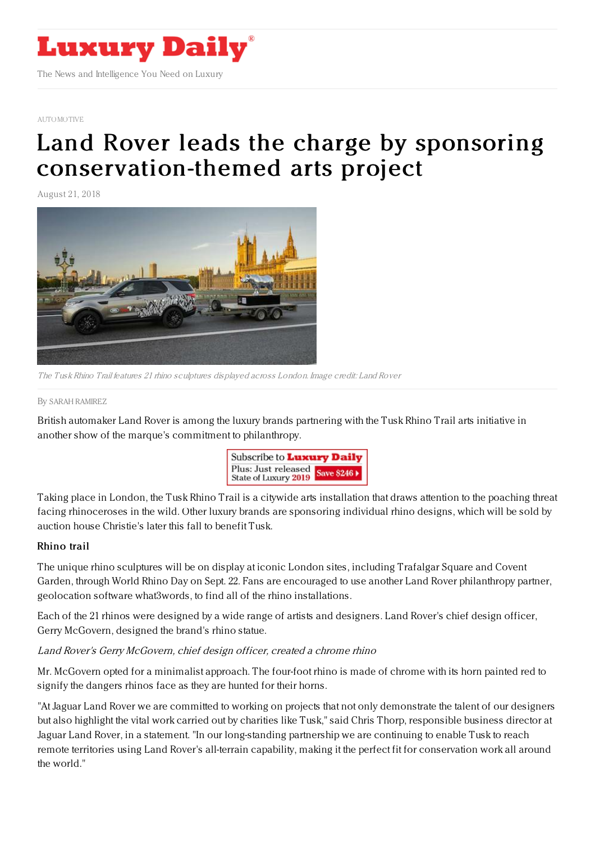

[AUTOMOTIVE](https://www.luxurydaily.com/category/sectors/automotive-industry-sectors/)

# Land Rover leads the charge by sponsoring [conservation-themed](https://www.luxurydaily.com/land-rover-leads-the-charge-in-sponsoring-conservation-themed-arts-project/) arts project

August 21, 2018



The Tusk Rhino Trail features 21 rhino sculptures displayed across London. Image credit: Land Rover

#### By SARAH [RAMIREZ](file:///author/sarah-ramirez)

British automaker Land Rover is among the luxury brands partnering with the Tusk Rhino Trail arts initiative in another show of the marque's commitment to philanthropy.



Taking place in London, the Tusk Rhino Trail is a citywide arts installation that draws attention to the poaching threat facing rhinoceroses in the wild. Other luxury brands are sponsoring individual rhino designs, which will be sold by auction house Christie's later this fall to benefit Tusk.

#### Rhino trail

The unique rhino sculptures will be on display at iconic London sites, including Trafalgar Square and Covent Garden, through World Rhino Day on Sept. 22. Fans are encouraged to use another Land Rover philanthropy partner, geolocation software what3words, to find all of the rhino installations.

Each of the 21 rhinos were designed by a wide range of artists and designers. Land Rover's chief design officer, Gerry McGovern, designed the brand's rhino statue.

## Land Rover's Gerry McGovern, chief design officer, created <sup>a</sup> chrome rhino

Mr. McGovern opted for a minimalist approach. The four-foot rhino is made of chrome with its horn painted red to signify the dangers rhinos face as they are hunted for their horns.

"At Jaguar Land Rover we are committed to working on projects that not only demonstrate the talent of our designers but also highlight the vital work carried out by charities like Tusk," said Chris Thorp, responsible business director at Jaguar Land Rover, in a statement. "In our long-standing partnership we are continuing to enable Tusk to reach remote territories using Land Rover's all-terrain capability, making it the perfect fit for conservation work all around the world."